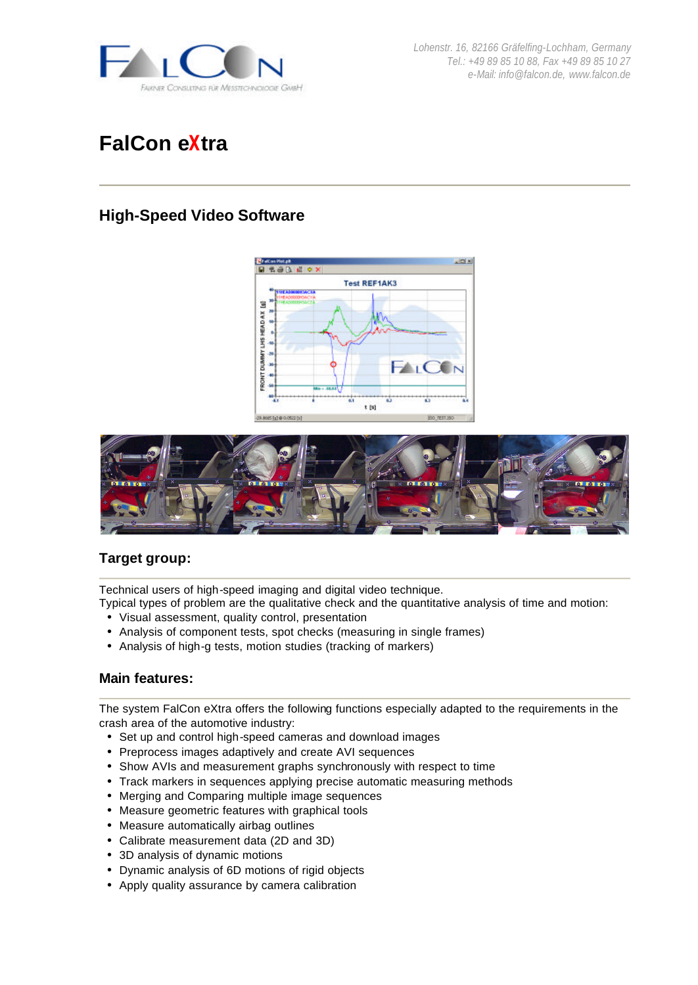

*Lohenstr. 16, 82166 Gräfelfing-Lochham, Germany Tel.: +49 89 85 10 88, Fax +49 89 85 10 27 e-Mail: info@falcon.de, www.falcon.de*

# **FalCon eXtra**

## **High-Speed Video Software**





## **Target group:**

Technical users of high-speed imaging and digital video technique.

Typical types of problem are the qualitative check and the quantitative analysis of time and motion:

- Visual assessment, quality control, presentation
- Analysis of component tests, spot checks (measuring in single frames)
- Analysis of high-g tests, motion studies (tracking of markers)

#### **Main features:**

The system FalCon eXtra offers the following functions especially adapted to the requirements in the crash area of the automotive industry:

- Set up and control high-speed cameras and download images
- Preprocess images adaptively and create AVI sequences
- Show AVIs and measurement graphs synchronously with respect to time
- Track markers in sequences applying precise automatic measuring methods
- Merging and Comparing multiple image sequences
- Measure geometric features with graphical tools
- Measure automatically airbag outlines
- Calibrate measurement data (2D and 3D)
- 3D analysis of dynamic motions
- Dynamic analysis of 6D motions of rigid objects
- Apply quality assurance by camera calibration